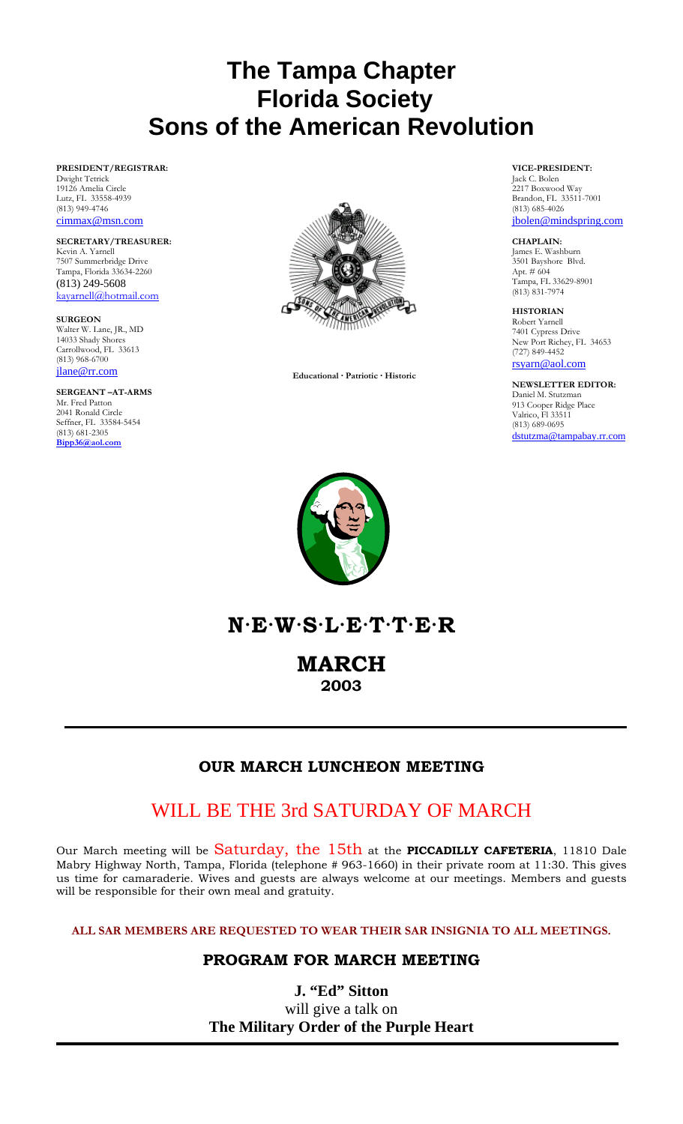# **The Tampa Chapter Florida Society Sons of the American Revolution**

### **PRESIDENT/REGISTRAR:**  Dwight Tetrick 19126 Amelia Circle Lutz, FL 33558-4939 (813) 949-4746 cimmax@msn.com

**SECRETARY/TREASURER:** Kevin A. Yarnell 7507 Summerbridge Drive Tampa, Florida 33634-2260 (813) 249-5608 kayarnell@hotmail.com

**SURGEON**  Walter W. Lane, JR., MD 14033 Shady Shores Carrollwood, FL 33613 (813) 968-6700 jlane@rr.com

#### **SERGEANT –AT-ARMS**  Mr. Fred Patton 2041 Ronald Circle Seffner, FL 33584-5454 (813) 681-2305 **Bipp36@aol.com**



 **Educational · Patriotic · Historic** 

### **VICE-PRESIDENT:**

Jack C. Bolen 2217 Boxwood Way Brandon, FL 33511-7001 (813) 685-4026 jbolen@mindspring.com

### **CHAPLAIN:**

James E. Washburn 3501 Bayshore Blvd. Apt. # 604 Tampa, FL 33629-8901 (813) 831-7974

**HISTORIAN**  Robert Yarnell 7401 Cypress Drive New Port Richey, FL 34653 (727) 849-4452

rsyarn@aol.com

**NEWSLETTER EDITOR:** Daniel M. Stutzman 913 Cooper Ridge Place Valrico, Fl 33511 (813) 689-0695 dstutzma@tampabay.rr.com



**N·E·W·S·L·E·T·T·E·R** 

**MARCH 2003** 

## **OUR MARCH LUNCHEON MEETING**

I

## WILL BE THE 3rd SATURDAY OF MARCH

Our March meeting will be Saturday, the 15th at the **PICCADILLY CAFETERIA**, 11810 Dale Mabry Highway North, Tampa, Florida (telephone # 963-1660) in their private room at 11:30. This gives us time for camaraderie. Wives and guests are always welcome at our meetings. Members and guests will be responsible for their own meal and gratuity.

**ALL SAR MEMBERS ARE REQUESTED TO WEAR THEIR SAR INSIGNIA TO ALL MEETINGS.**

## **PROGRAM FOR MARCH MEETING**

**J. "Ed" Sitton**  will give a talk on **The Military Order of the Purple Heart**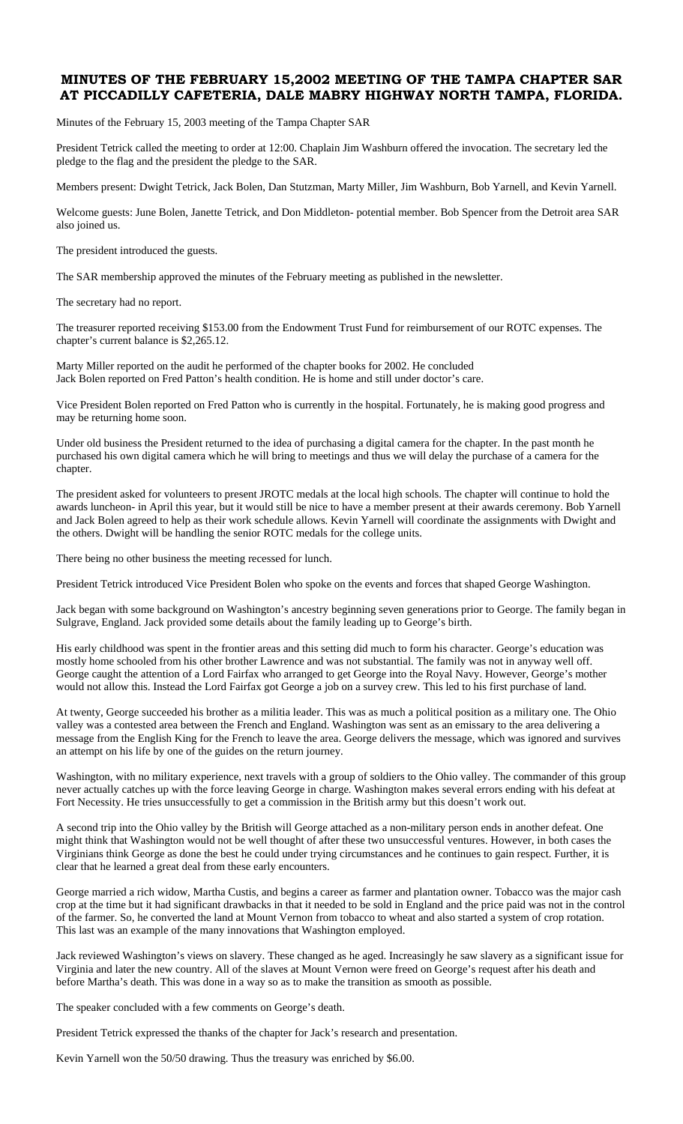### **MINUTES OF THE FEBRUARY 15,2002 MEETING OF THE TAMPA CHAPTER SAR AT PICCADILLY CAFETERIA, DALE MABRY HIGHWAY NORTH TAMPA, FLORIDA.**

Minutes of the February 15, 2003 meeting of the Tampa Chapter SAR

President Tetrick called the meeting to order at 12:00. Chaplain Jim Washburn offered the invocation. The secretary led the pledge to the flag and the president the pledge to the SAR.

Members present: Dwight Tetrick, Jack Bolen, Dan Stutzman, Marty Miller, Jim Washburn, Bob Yarnell, and Kevin Yarnell.

Welcome guests: June Bolen, Janette Tetrick, and Don Middleton- potential member. Bob Spencer from the Detroit area SAR also joined us.

The president introduced the guests.

The SAR membership approved the minutes of the February meeting as published in the newsletter.

The secretary had no report.

The treasurer reported receiving \$153.00 from the Endowment Trust Fund for reimbursement of our ROTC expenses. The chapter's current balance is \$2,265.12.

Marty Miller reported on the audit he performed of the chapter books for 2002. He concluded Jack Bolen reported on Fred Patton's health condition. He is home and still under doctor's care.

Vice President Bolen reported on Fred Patton who is currently in the hospital. Fortunately, he is making good progress and may be returning home soon.

Under old business the President returned to the idea of purchasing a digital camera for the chapter. In the past month he purchased his own digital camera which he will bring to meetings and thus we will delay the purchase of a camera for the chapter.

The president asked for volunteers to present JROTC medals at the local high schools. The chapter will continue to hold the awards luncheon- in April this year, but it would still be nice to have a member present at their awards ceremony. Bob Yarnell and Jack Bolen agreed to help as their work schedule allows. Kevin Yarnell will coordinate the assignments with Dwight and the others. Dwight will be handling the senior ROTC medals for the college units.

There being no other business the meeting recessed for lunch.

President Tetrick introduced Vice President Bolen who spoke on the events and forces that shaped George Washington.

Jack began with some background on Washington's ancestry beginning seven generations prior to George. The family began in Sulgrave, England. Jack provided some details about the family leading up to George's birth.

His early childhood was spent in the frontier areas and this setting did much to form his character. George's education was mostly home schooled from his other brother Lawrence and was not substantial. The family was not in anyway well off. George caught the attention of a Lord Fairfax who arranged to get George into the Royal Navy. However, George's mother would not allow this. Instead the Lord Fairfax got George a job on a survey crew. This led to his first purchase of land.

At twenty, George succeeded his brother as a militia leader. This was as much a political position as a military one. The Ohio valley was a contested area between the French and England. Washington was sent as an emissary to the area delivering a message from the English King for the French to leave the area. George delivers the message, which was ignored and survives an attempt on his life by one of the guides on the return journey.

Washington, with no military experience, next travels with a group of soldiers to the Ohio valley. The commander of this group never actually catches up with the force leaving George in charge. Washington makes several errors ending with his defeat at Fort Necessity. He tries unsuccessfully to get a commission in the British army but this doesn't work out.

A second trip into the Ohio valley by the British will George attached as a non-military person ends in another defeat. One might think that Washington would not be well thought of after these two unsuccessful ventures. However, in both cases the Virginians think George as done the best he could under trying circumstances and he continues to gain respect. Further, it is clear that he learned a great deal from these early encounters.

George married a rich widow, Martha Custis, and begins a career as farmer and plantation owner. Tobacco was the major cash crop at the time but it had significant drawbacks in that it needed to be sold in England and the price paid was not in the control of the farmer. So, he converted the land at Mount Vernon from tobacco to wheat and also started a system of crop rotation. This last was an example of the many innovations that Washington employed.

Jack reviewed Washington's views on slavery. These changed as he aged. Increasingly he saw slavery as a significant issue for Virginia and later the new country. All of the slaves at Mount Vernon were freed on George's request after his death and before Martha's death. This was done in a way so as to make the transition as smooth as possible.

The speaker concluded with a few comments on George's death.

President Tetrick expressed the thanks of the chapter for Jack's research and presentation.

Kevin Yarnell won the 50/50 drawing. Thus the treasury was enriched by \$6.00.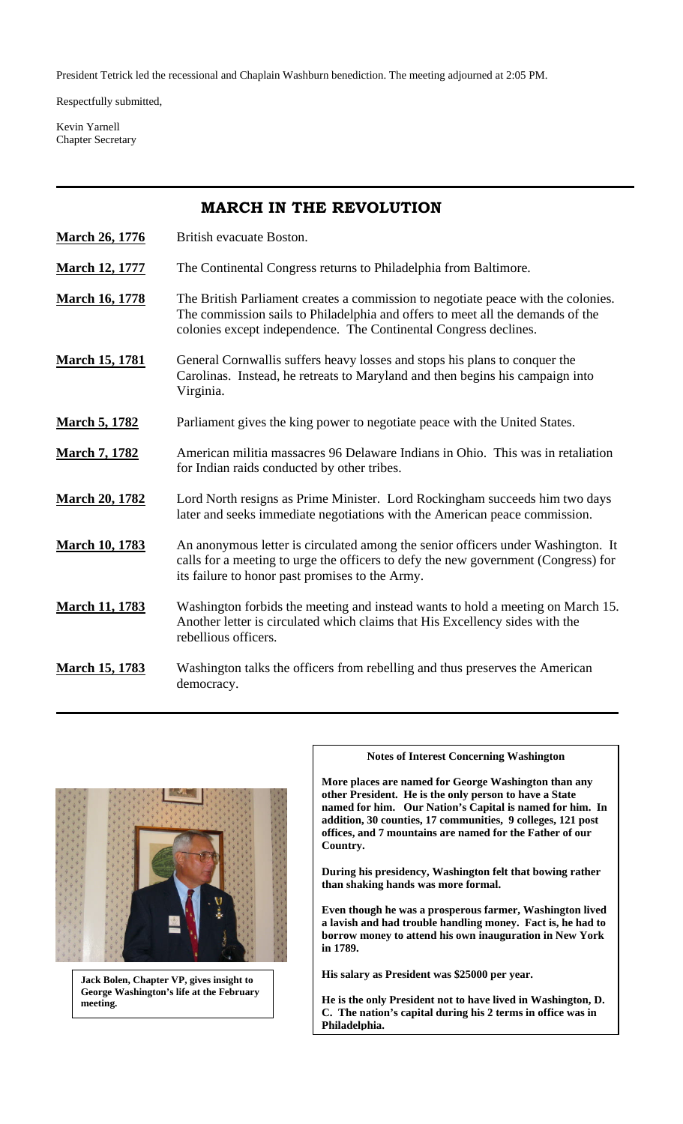President Tetrick led the recessional and Chaplain Washburn benediction. The meeting adjourned at 2:05 PM.

Respectfully submitted,

Kevin Yarnell Chapter Secretary

## **MARCH IN THE REVOLUTION**

- **March 26, 1776** British evacuate Boston.
- **March 12, 1777** The Continental Congress returns to Philadelphia from Baltimore.
- **March 16, 1778** The British Parliament creates a commission to negotiate peace with the colonies. The commission sails to Philadelphia and offers to meet all the demands of the colonies except independence. The Continental Congress declines.
- **March 15, 1781** General Cornwallis suffers heavy losses and stops his plans to conquer the Carolinas. Instead, he retreats to Maryland and then begins his campaign into Virginia.
- **March 5, 1782** Parliament gives the king power to negotiate peace with the United States.
- **March 7, 1782** American militia massacres 96 Delaware Indians in Ohio. This was in retaliation for Indian raids conducted by other tribes.
- **March 20, 1782** Lord North resigns as Prime Minister. Lord Rockingham succeeds him two days later and seeks immediate negotiations with the American peace commission.
- **March 10, 1783** An anonymous letter is circulated among the senior officers under Washington. It calls for a meeting to urge the officers to defy the new government (Congress) for its failure to honor past promises to the Army.
- **March 11, 1783** Washington forbids the meeting and instead wants to hold a meeting on March 15. Another letter is circulated which claims that His Excellency sides with the rebellious officers.
- **March 15, 1783** Washington talks the officers from rebelling and thus preserves the American democracy.



**Jack Bolen, Chapter VP, gives insight to George Washington's life at the February meeting.** 

### **Notes of Interest Concerning Washington**

**More places are named for George Washington than any other President. He is the only person to have a State named for him. Our Nation's Capital is named for him. In addition, 30 counties, 17 communities, 9 colleges, 121 post offices, and 7 mountains are named for the Father of our Country.** 

**During his presidency, Washington felt that bowing rather than shaking hands was more formal.** 

**Even though he was a prosperous farmer, Washington lived a lavish and had trouble handling money. Fact is, he had to borrow money to attend his own inauguration in New York in 1789.** 

**His salary as President was \$25000 per year.** 

**He is the only President not to have lived in Washington, D. C. The nation's capital during his 2 terms in office was in Philadelphia.**